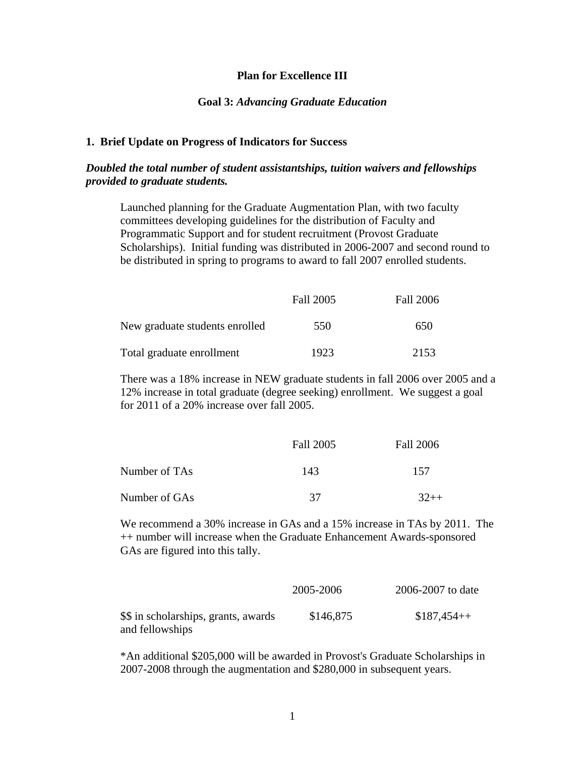#### **Plan for Excellence III**

#### **Goal 3:** *Advancing Graduate Education*

#### **1. Brief Update on Progress of Indicators for Success**

## *Doubled the total number of student assistantships, tuition waivers and fellowships provided to graduate students.*

Launched planning for the Graduate Augmentation Plan, with two faculty committees developing guidelines for the distribution of Faculty and Programmatic Support and for student recruitment (Provost Graduate Scholarships). Initial funding was distributed in 2006-2007 and second round to be distributed in spring to programs to award to fall 2007 enrolled students.

|                                | Fall 2005 | Fall 2006 |
|--------------------------------|-----------|-----------|
| New graduate students enrolled | 550       | 650       |
| Total graduate enrollment      | 1923      | 2153      |

There was a 18% increase in NEW graduate students in fall 2006 over 2005 and a 12% increase in total graduate (degree seeking) enrollment. We suggest a goal for 2011 of a 20% increase over fall 2005.

|               | Fall 2005 | Fall 2006 |
|---------------|-----------|-----------|
| Number of TAs | 143       | 157       |
| Number of GAs | 37        | $32++$    |

We recommend a 30% increase in GAs and a 15% increase in TAs by 2011. The ++ number will increase when the Graduate Enhancement Awards-sponsored GAs are figured into this tally.

|                                      | 2005-2006 | 2006-2007 to date |
|--------------------------------------|-----------|-------------------|
| \$\$ in scholarships, grants, awards | \$146,875 | $$187,454++$      |
| and fellowships                      |           |                   |

\*An additional \$205,000 will be awarded in Provost's Graduate Scholarships in 2007-2008 through the augmentation and \$280,000 in subsequent years.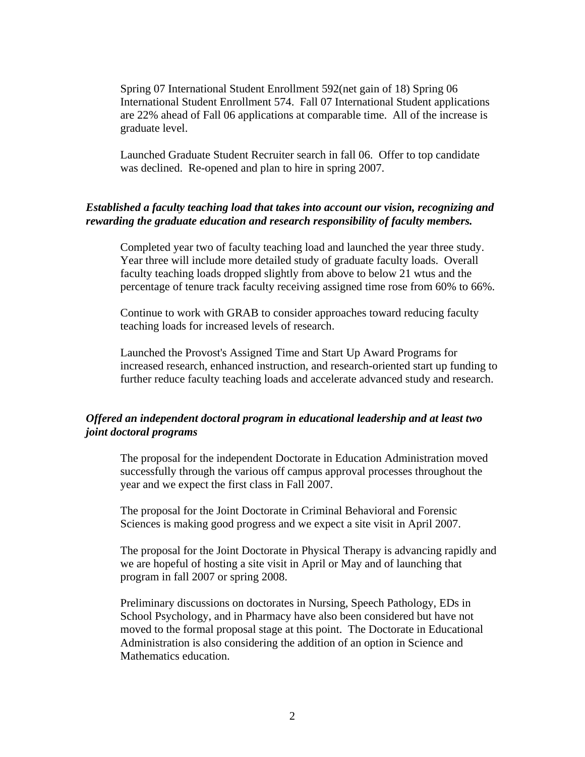Spring 07 International Student Enrollment 592(net gain of 18) Spring 06 International Student Enrollment 574. Fall 07 International Student applications are 22% ahead of Fall 06 applications at comparable time. All of the increase is graduate level.

Launched Graduate Student Recruiter search in fall 06. Offer to top candidate was declined. Re-opened and plan to hire in spring 2007.

## *Established a faculty teaching load that takes into account our vision, recognizing and rewarding the graduate education and research responsibility of faculty members.*

Completed year two of faculty teaching load and launched the year three study. Year three will include more detailed study of graduate faculty loads. Overall faculty teaching loads dropped slightly from above to below 21 wtus and the percentage of tenure track faculty receiving assigned time rose from 60% to 66%.

Continue to work with GRAB to consider approaches toward reducing faculty teaching loads for increased levels of research.

Launched the Provost's Assigned Time and Start Up Award Programs for increased research, enhanced instruction, and research-oriented start up funding to further reduce faculty teaching loads and accelerate advanced study and research.

# *Offered an independent doctoral program in educational leadership and at least two joint doctoral programs*

The proposal for the independent Doctorate in Education Administration moved successfully through the various off campus approval processes throughout the year and we expect the first class in Fall 2007.

The proposal for the Joint Doctorate in Criminal Behavioral and Forensic Sciences is making good progress and we expect a site visit in April 2007.

The proposal for the Joint Doctorate in Physical Therapy is advancing rapidly and we are hopeful of hosting a site visit in April or May and of launching that program in fall 2007 or spring 2008.

Preliminary discussions on doctorates in Nursing, Speech Pathology, EDs in School Psychology, and in Pharmacy have also been considered but have not moved to the formal proposal stage at this point. The Doctorate in Educational Administration is also considering the addition of an option in Science and Mathematics education.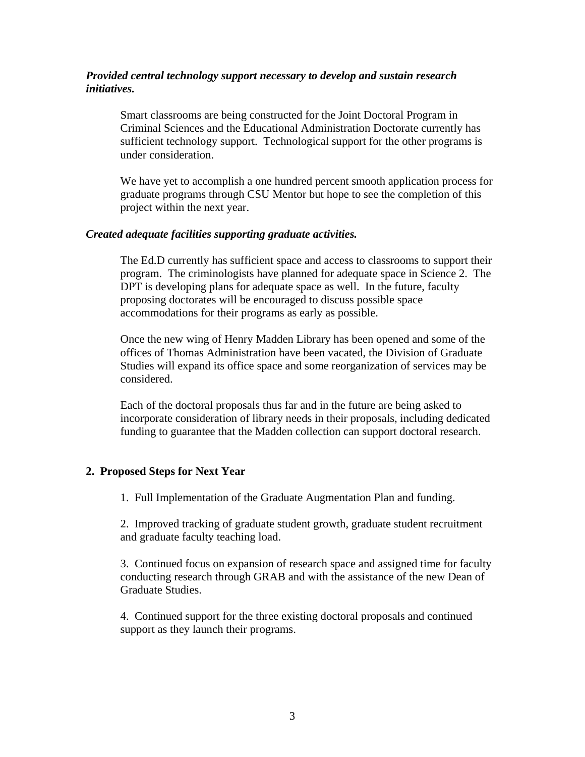# *Provided central technology support necessary to develop and sustain research initiatives.*

Smart classrooms are being constructed for the Joint Doctoral Program in Criminal Sciences and the Educational Administration Doctorate currently has sufficient technology support. Technological support for the other programs is under consideration.

We have yet to accomplish a one hundred percent smooth application process for graduate programs through CSU Mentor but hope to see the completion of this project within the next year.

### *Created adequate facilities supporting graduate activities.*

The Ed.D currently has sufficient space and access to classrooms to support their program. The criminologists have planned for adequate space in Science 2. The DPT is developing plans for adequate space as well. In the future, faculty proposing doctorates will be encouraged to discuss possible space accommodations for their programs as early as possible.

Once the new wing of Henry Madden Library has been opened and some of the offices of Thomas Administration have been vacated, the Division of Graduate Studies will expand its office space and some reorganization of services may be considered.

Each of the doctoral proposals thus far and in the future are being asked to incorporate consideration of library needs in their proposals, including dedicated funding to guarantee that the Madden collection can support doctoral research.

## **2. Proposed Steps for Next Year**

1. Full Implementation of the Graduate Augmentation Plan and funding.

2. Improved tracking of graduate student growth, graduate student recruitment and graduate faculty teaching load.

3. Continued focus on expansion of research space and assigned time for faculty conducting research through GRAB and with the assistance of the new Dean of Graduate Studies.

4. Continued support for the three existing doctoral proposals and continued support as they launch their programs.